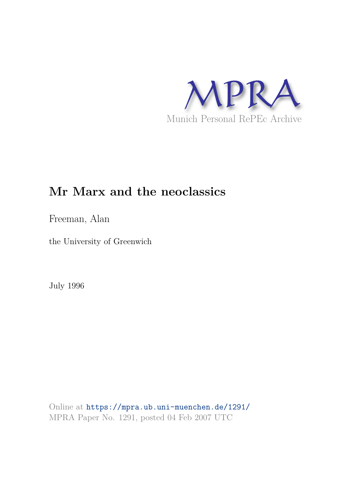

# **Mr Marx and the neoclassics**

Freeman, Alan

the University of Greenwich

July 1996

Online at https://mpra.ub.uni-muenchen.de/1291/ MPRA Paper No. 1291, posted 04 Feb 2007 UTC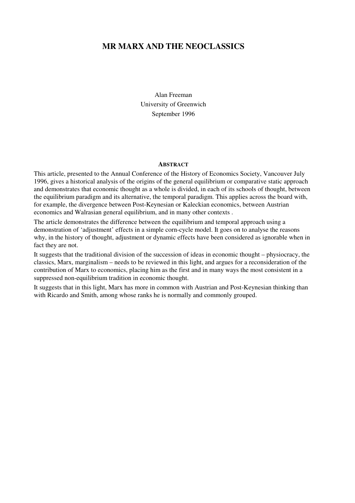## **MR MARX AND THE NEOCLASSICS**

Alan Freeman University of Greenwich September 1996

#### **ABSTRACT**

This article, presented to the Annual Conference of the History of Economics Society, Vancouver July 1996, gives a historical analysis of the origins of the general equilibrium or comparative static approach and demonstrates that economic thought as a whole is divided, in each of its schools of thought, between the equilibrium paradigm and its alternative, the temporal paradigm. This applies across the board with, for example, the divergence between Post-Keynesian or Kaleckian economics, between Austrian economics and Walrasian general equilibrium, and in many other contexts .

The article demonstrates the difference between the equilibrium and temporal approach using a demonstration of 'adjustment' effects in a simple corn-cycle model. It goes on to analyse the reasons why, in the history of thought, adjustment or dynamic effects have been considered as ignorable when in fact they are not.

It suggests that the traditional division of the succession of ideas in economic thought – physiocracy, the classics, Marx, marginalism – needs to be reviewed in this light, and argues for a reconsideration of the contribution of Marx to economics, placing him as the first and in many ways the most consistent in a suppressed non-equilibrium tradition in economic thought.

It suggests that in this light, Marx has more in common with Austrian and Post-Keynesian thinking than with Ricardo and Smith, among whose ranks he is normally and commonly grouped.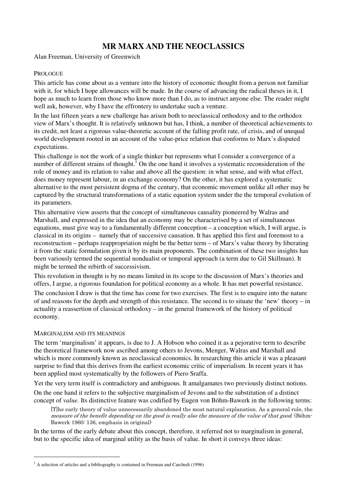# **MR MARX AND THE NEOCLASSICS**

Alan Freeman, University of Greenwich

## **PROLOGUE**

This article has come about as a venture into the history of economic thought from a person not familiar with it, for which I hope allowances will be made. In the course of advancing the radical theses in it. I hope as much to learn from those who know more than I do, as to instruct anyone else. The reader might well ask, however, why I have the effrontery to undertake such a venture.

In the last fifteen years a new challenge has arisen both to neoclassical orthodoxy and to the orthodox view of Marx's thought. It is relatively unknown but has, I think, a number of theoretical achievements to its credit, not least a rigorous value-theoretic account of the falling profit rate, of crisis, and of unequal world development rooted in an account of the value-price relation that conforms to Marx's disputed expectations.

This challenge is not the work of a single thinker but represents what I consider a convergence of a number of different strains of thought.<sup>1</sup> On the one hand it involves a systematic reconsideration of the role of money and its relation to value and above all the question: in what sense, and with what effect, does money represent labour, in an exchange economy? On the other, it has explored a systematic alternative to the most persistent dogma of the century, that economic movement unlike all other may be captured by the structural transformations of a static equation system under the the temporal evolution of its parameters.

This alternative view asserts that the concept of simultaneous causality pioneered by Walras and Marshall, and expressed in the idea that an economy may be characterised by a set of simultaneous equations, must give way to a fundamentally different conception – a conception which, I will argue, is classical in its origins – namely that of successive causation. It has applied this first and foremost to a reconstruction – perhaps reappropriation might be the better term – of Marx's value theory by liberating it from the static formulation given it by its main proponents. The combination of these two insights has been variously termed the sequential nondualist or temporal approach (a term due to Gil Skillman). It might be termed the rebirth of successivism.

This revolution in thought is by no means limited in its scope to the discussion of Marx's theories and offers, I argue, a rigorous foundation for political economy as a whole. It has met powerful resistance.

The conclusion I draw is that the time has come for two exercises. The first is to enquire into the nature of and reasons for the depth and strength of this resistance. The second is to situate the 'new' theory – in actuality a reassertion of classical orthodoxy – in the general framework of the history of political economy.

## MARGINALISM AND ITS MEANINGS

1

The term 'marginalism' it appears, is due to J. A Hobson who coined it as a pejorative term to describe the theoretical framework now ascribed among others to Jevons, Menger, Walras and Marshall and which is more commonly known as neoclassical economics. In researching this article it was a pleasant surprise to find that this derives from the earliest economic critic of imperialism. In recent years it has been applied most systematically by the followers of Piero Sraffa.

Yet the very term itself is contradictory and ambiguous. It amalgamates two previously distinct notions.

On the one hand it refers to the subjective marginalism of Jevons and to the substitution of a distinct concept of *value.* Its distinctive feature was codified by Eugen von Böhm-Bawerk in the following terms:

The early theory of value unnecessarily abandoned the most natural explanation. As a general rule, the measure of the benefit depending on the good is really also the measure of the value of that good. (Böhm-Bawerk 1960: 136, emphasis in original)

In the terms of the early debate about this concept, therefore, it referred not to marginalism in general, but to the specific idea of marginal utility as the basis of value. In short it conveys three ideas:

 $<sup>1</sup>$  A selection of articles and a bibliography is contained in Freeman and Carchedi (1996)</sup>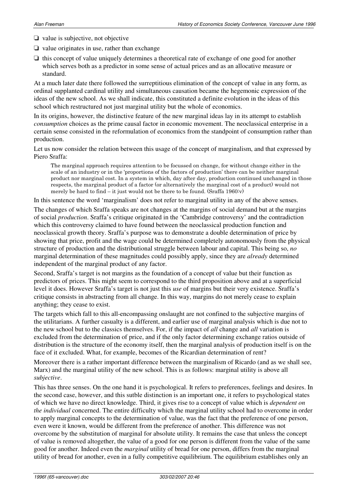- ❏ value is subjective, not objective
- ❏ value originates in use, rather than exchange
- ❏ this concept of value uniquely determines a theoretical rate of exchange of one good for another which serves both as a predictor in some sense of actual prices and as an allocative measure or standard.

At a much later date there followed the surreptitious elimination of the concept of value in any form, as ordinal supplanted cardinal utility and simultaneous causation became the hegemonic expression of the ideas of the new school. As we shall indicate, this constituted a definite evolution in the ideas of this school which restructured not just marginal utility but the whole of economics.

In its origins, however, the distinctive feature of the new marginal ideas lay in its attempt to establish *consumption* choices as the prime causal factor in economic movement. The neoclassical enterprise in a certain sense consisted in the reformulation of economics from the standpoint of consumption rather than production.

Let us now consider the relation between this usage of the concept of marginalism, and that expressed by Piero Sraffa:

The marginal approach requires attention to be focussed on change, for without change either in the scale of an industry or in the 'proportions of the factors of production' there can be neither marginal product nor marginal cost. In a system in which, day after day, production continued unchanged in those respects, the marginal product of a factor (or alternatively the marginal cost of a product) would not merely be hard to find  $-$  it just would not be there to be found. (Sraffa 1960 $\cdot$ v)

In this sentence the word 'marginalism' does not refer to marginal utility in any of the above senses.

The changes of which Sraffa speaks are not changes at the margins of social demand but at the margins of social *production*. Sraffa's critique originated in the 'Cambridge controversy' and the contradiction which this controversy claimed to have found between the neoclassical production function and neoclassical growth theory. Sraffa's purpose was to demonstrate a double determination of price by showing that price, profit and the wage could be determined completely autonomously from the physical structure of production and the distributional struggle between labour and capital. This being so, *no*  marginal determination of these magnitudes could possibly apply, since they are *already* determined independent of the marginal product of any factor.

Second, Sraffa's target is not margins as the foundation of a concept of value but their function as predictors of prices. This might seem to correspond to the third proposition above and at a superficial level it does. However Sraffa's target is not just this *use* of margins but their very existence. Sraffa's critique consists in abstracting from all change. In this way, margins do not merely cease to explain anything; they cease to exist.

The targets which fall to this all-encompassing onslaught are not confined to the subjective margins of the utilitarians. A further casualty is a different, and earlier use of marginal analysis which is due not to the new school but to the classics themselves. For, if the impact of *all* change and *all* variation is excluded from the determination of price, and if the only factor determining exchange ratios outside of distribution is the structure of the economy itself, then the marginal analysis of production itself is on the face of it excluded. What, for example, becomes of the Ricardian determination of rent?

Moreover there is a rather important difference between the marginalism of Ricardo (and as we shall see, Marx) and the marginal utility of the new school. This is as follows: marginal utility is above all *subjective*.

This has three senses. On the one hand it is psychological. It refers to preferences, feelings and desires. In the second case, however, and this sutble distinction is an important one, it refers to psychological states of which we have no direct knowledge. Third, it gives rise to a concept of value which is *dependent on the individual* concerned. The entire difficulty which the marginal utility school had to overcome in order to apply marginal concepts to the determination of value, was the fact that the preference of one person, even were it known, would be different from the preference of another. This difference was not overcome by the substitution of marginal for absolute utility. It remains the case that unless the concept of value is removed altogether, the value of a good for one person is different from the value of the same good for another. Indeed even the *marginal* utility of bread for one person, differs from the marginal utility of bread for another, even in a fully competitive equilibrium. The equilibrium establishes only an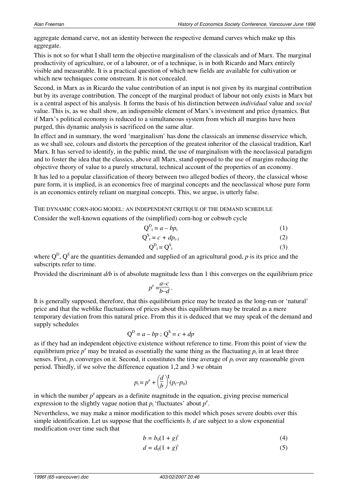aggregate demand curve, not an identity between the respective demand curves which make up this aggregate.

This is not so for what I shall term the objective marginalism of the classicals and of Marx. The marginal productivity of agriculture, or of a labourer, or of a technique, is in both Ricardo and Marx entirely visible and measurable. It is a practical question of which new fields are available for cultivation or which new techniques come onstream. It is not concealed.

Second, in Marx as in Ricardo the value contribution of an input is not given by its marginal contribution but by its average contribution. The concept of the marginal product of labour not only exists in Marx but is a central aspect of his analysis. It forms the basis of his distinction between *individual* value and *social*  value. This is, as we shall show, an indispensible element of Marx's investment and price dynamics. But if Marx's political economy is reduced to a simultaneous system from which all margins have been purged, this dynamic analysis is sacrificed on the same altar.

In effect and in summary, the word 'marginalism' has done the classicals an immense disservice which, as we shall see, colours and distorts the perception of the greatest inheritor of the classical tradition, Karl Marx. It has served to identify, in the public mind, the use of marginalism with the neoclassical paradigm and to foster the idea that the classics, above all Marx, stand opposed to the use of margins reducing the objective theory of value to a purely structural, technical account of the properties of an economy.

It has led to a popular classification of theory between two alleged bodies of theory, the classical whose pure form, it is implied, is an economics free of marginal concepts and the neoclassical whose pure form is an economics entirely reliant on marginal concepts. This, we argue, is utterly false.

THE DYNAMIC CORN-HOG MODEL: AN INDEPENDENT CRITIQUE OF THE DEMAND SCHEDULE

Consider the well-known equations of the (simplified) corn-hog or cobweb cycle

$$
Q_t^D = a - bp_t \tag{1}
$$

$$
Q_{t}^{S} = c + dp_{t-1}
$$
 (2)

$$
Q_{t}^{D} = Q_{t}^{S}
$$
 (3)

where  $Q^D$ ,  $Q^S$  are the quantities demanded and supplied of an agricultural good, p is its price and the subscripts refer to time.

Provided the discriminant  $d/b$  is of absolute magnitude less than 1 this converges on the equilibrium price

$$
p^e = \frac{a-c}{b-d} \, .
$$

It is generally supposed, therefore, that this equilibrium price may be treated as the long-run or 'natural' price and that the weblike fluctuations of prices about this equilibrium may be treated as a mere temporary deviation from this natural price. From this it is deduced that we may speak of the demand and supply schedules

$$
Q^D = a - bp ; Q^S = c + dp
$$

as if they had an independent objective existence without reference to time. From this point of view the equilibrium price  $p^e$  may be treated as essentially the same thing as the fluctuating  $p_t$  in at least three senses. First,  $p_t$  converges on it. Second, it constitutes the time average of  $p_t$  over any reasonable given period. Thirdly, if we solve the difference equation 1,2 and 3 we obtain

$$
p_t = p^\mathrm{e} + \left(\frac{d}{b}\right)^t (p_t - p_0)
$$

in which the number  $p<sup>e</sup>$  appears as a definite magnitude in the equation, giving precise numerical expression to the slightly vague notion that  $p_t$  'fluctuates' about  $p^e$ .

Nevertheless, we may make a minor modification to this model which poses severe doubts over this simple identification. Let us suppose that the coefficients *b, d* are subject to a slow exponential modification over time such that

$$
b = b_0(1+g)^t
$$
 (4)

$$
d = d_0(1+g)^t \tag{5}
$$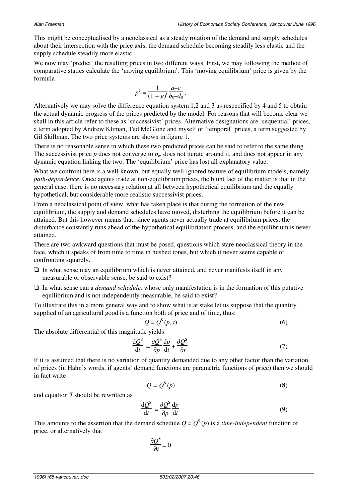This might be conceptualised by a neoclassical as a steady rotation of the demand and supply schedules about their intersection with the price axis, the demand schedule becoming steadily less elastic and the supply schedule steadily more elastic.

We now may 'predict' the resulting prices in two different ways. First, we may following the method of comparative statics calculate the 'moving equilibrium'. This 'moving equilibrium' price is given by the formula

$$
p^{e}{}_{t} = \frac{1}{(1+g)^{t}} \frac{a-c}{b_0-d_0}.
$$

Alternatively we may solve the difference equation system 1,2 and 3 as respecified by 4 and 5 to obtain the actual dynamic progress of the prices predicted by the model. For reasons that will become clear we shall in this article refer to these as 'successivist' prices. Alternative designations are 'sequential' prices, a term adopted by Andrew Kliman, Ted McGlone and myself or 'temporal' prices, a term suggested by Gil Skillman. The two price systems are shown in figure 1.

There is no reasonable sense in which these two predicted prices can be said to refer to the same thing. The successivist price  $p$  does not converge to  $p_e$ , does not iterate around it, and does not appear in any dynamic equation linking the two. The 'equilibrium' price has lost all explanatory value.

What we confront here is a well-known, but equally well-ignored feature of equilibrium models, namely *path-dependence*. Once agents trade at non-equilibrium prices, the blunt fact of the matter is that in the general case, there is no necessary relation at all between hypothetical equilibrium and the equally hypothetical, but considerable more realistic successivist prices.

From a neoclassical point of view, what has taken place is that during the formation of the new equilibrium, the supply and demand schedules have moved, disturbing the equilibrium before it can be attained. But this however means that, since agents never actually trade at equilibrium prices, the disturbance constantly runs ahead of the hypothetical equilibriation process, and the equilibrium is never attained.

There are two awkward questions that must be posed, questions which stare neoclassical theory in the face, which it speaks of from time to time in hushed tones, but which it never seems capable of confronting squarely.

- $\Box$  In what sense may an equilibrium which is never attained, and never manifests itself in any measurable or observable sense, be said to exist?
- ❏ In what sense can a *demand schedule,* whose only manifestation is in the formation of this putative equilibrium and is not independently measurable, be said to exist?

To illustrate this in a more general way and to show what is at stake let us suppose that the quantity supplied of an agricultural good is a function both of price and of time, thus:

$$
Q = Q^{S}(p, t)
$$
 (6)

The absolute differential of this magnitude yields

$$
\frac{\mathrm{d}Q^{\mathrm{S}}}{\mathrm{d}t} = \frac{\partial Q^{\mathrm{S}}}{\partial p}\frac{\mathrm{d}p}{\mathrm{d}t} + \frac{\partial Q^{\mathrm{S}}}{\partial t} \tag{7}
$$

If it is assumed that there is no variation of quantity demanded due to any other factor than the variation of prices (in Hahn's words, if agents' demand functions are parametric functions of price) then we should in fact write

$$
Q = Q^{S}(p)
$$
 (8)

and equation **7** should be rewritten as

$$
\frac{\mathrm{d}Q^{\mathrm{S}}}{\mathrm{d}t} = \frac{\partial Q^{\mathrm{S}}}{\partial p} \frac{\mathrm{d}p}{\mathrm{d}t} \tag{9}
$$

This amounts to the assertion that the demand schedule  $Q = Q^S(p)$  is a *time-independent* function of price, or alternatively that

$$
\frac{\partial Q^{\rm S}}{\partial t} = 0
$$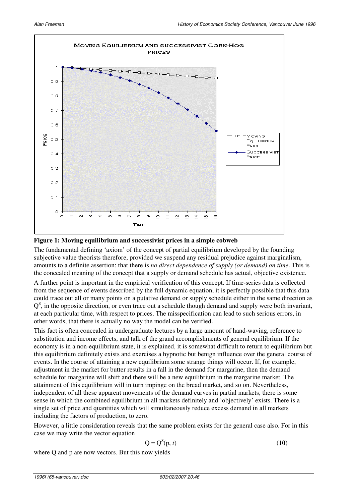

## **Figure 1: Moving equilibrium and successivist prices in a simple cobweb**

The fundamental defining 'axiom' of the concept of partial equilibrium developed by the founding subjective value theorists therefore, provided we suspend any residual prejudice against marginalism, amounts to a definite assertion: that there is *no direct dependence of supply (or demand) on time*. This is the concealed meaning of the concept that a supply or demand schedule has actual, objective existence.

A further point is important in the empirical verification of this concept. If time-series data is collected from the sequence of events described by the full dynamic equation, it is perfectly possible that this data could trace out all or many points on a putative demand or supply schedule either in the same direction as  $Q<sup>S</sup>$ , in the opposite direction, or even trace out a schedule though demand and supply were both invariant, at each particular time, with respect to prices. The misspecification can lead to such serious errors, in other words, that there is actually no way the model can be verified.

This fact is often concealed in undergraduate lectures by a large amount of hand-waving, reference to substitution and income effects, and talk of the grand accomplishments of general equilibrium. If the economy is in a non-equilibrium state, it is explained, it is somewhat difficult to return to equilibrium but this equilibrium definitely exists and exercises a hypnotic but benign influence over the general course of events. In the course of attaining a new equilibrium some strange things will occur. If, for example, adjustment in the market for butter results in a fall in the demand for margarine, then the demand schedule for margarine will shift and there will be a new equilibrium in the margarine market. The attainment of this equilibrium will in turn impinge on the bread market, and so on. Nevertheless, independent of all these apparent movements of the demand curves in partial markets, there is some sense in which the combined equilibrium in all markets definitely and 'objectively' exists. There is a single set of price and quantities which will simultaneously reduce excess demand in all markets including the factors of production, to zero.

However, a little consideration reveals that the same problem exists for the general case also. For in this case we may write the vector equation

$$
Q = Q^{S}(p, t)
$$
 (10)

where Q and p are now vectors. But this now yields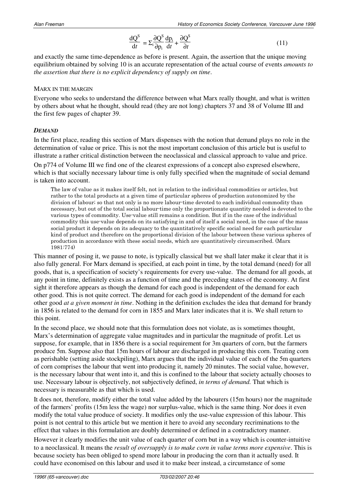$$
\frac{dQ^s}{dt} = \sum_{i} \frac{\partial Q^s}{\partial p_i} \frac{dp_i}{dt} + \frac{\partial Q^s}{\partial t}
$$
\n(11)

and exactly the same time-dependence as before is present. Again, the assertion that the unique moving equilibrium obtained by solving 10 is an accurate representation of the actual course of events *amounts to the assertion that there is no explicit dependency of supply on time*.

## MARX IN THE MARGIN

Everyone who seeks to understand the difference between what Marx really thought, and what is written by others about what he thought, should read (they are not long) chapters 37 and 38 of Volume III and the first few pages of chapter 39.

## *DEMAND*

In the first place, reading this section of Marx dispenses with the notion that demand plays no role in the determination of value or price. This is not the most important conclusion of this article but is useful to illustrate a rather critical distinction between the neoclassical and classical approach to value and price.

On p774 of Volume III we find one of the clearest expressions of a concept also expresed elsewhere, which is that socially necessary labour time is only fully specified when the magnitude of social demand is taken into account.

The law of value as it makes itself felt, not in relation to the individual commodities or articles, but rather to the total products at a given time of particular spheres of production autonomized by the division of labour; so that not only is no more labour time devoted to each individual commodity than necessary, but out of the total social labour time only the proportionate quantity needed is devoted to the various types of commodity. Use value still remains a condition. But if in the case of the individual commodity this use value depends on its satisfying in and of itself a social need, in the case of the mass social product it depends on its adequacy to the quantitatively specific social need for each particular kind of product and therefore on the proportional division of the labour between these various spheres of production in accordance with these social needs, which are quantitatively circumscribed. (Marx 1981:774)

This manner of posing it, we pause to note, is typically classical but we shall later make it clear that it is also fully general. For Marx demand is specified, at each point in time, by the total demand (need) for all goods, that is, a specification of society's requirements for every use-value. The demand for all goods, at any point in time, definitely exists as a function of time and the preceding states of the economy. At first sight it therefore appears as though the demand for each good is independent of the demand for each other good. This is not quite correct. The demand for each good is independent of the demand for each other good *at a given moment in time*. Nothing in the definition excludes the idea that demand for brandy in 1856 is related to the demand for corn in 1855 and Marx later indicates that it is. We shall return to this point.

In the second place, we should note that this formulation does not violate, as is sometimes thought, Marx's determination of aggregate value magnitudes and in particular the magnitude of profit. Let us suppose, for example, that in 1856 there is a social requirement for 3m quarters of corn, but the farmers produce 5m. Suppose also that 15m hours of labour are discharged in producing this corn. Treating corn as perishable (setting aside stockpiling), Marx argues that the individual value of each of the 5m quarters of corn comprises the labour that went into producing it, namely 20 minutes. The social value, however, is the necessary labour that went into it, and this is confined to the labour that society actually chooses to use. Necessary labour is objectively, not subjectively defined, *in terms of demand.* That which is necessary is measurable as that which is used.

It does not, therefore, modify either the total value added by the labourers (15m hours) nor the magnitude of the farmers' profits (15m less the wage) nor surplus-value, which is the same thing. Nor does it even modify the total value produce of society. It modifies only the use-value expression of this labour. This point is not central to this article but we mention it here to avoid any secondary recriminations to the effect that values in this formulation are doubly determined or defined in a contradictory manner.

However it clearly modifies the unit value of each quarter of corn but in a way which is counter-intuitive to a neoclassical. It means the *result of oversupply is to make corn in value terms more expensive*. This is because society has been obliged to spend more labour in producing the corn than it actually used. It could have economised on this labour and used it to make beer instead, a circumstance of some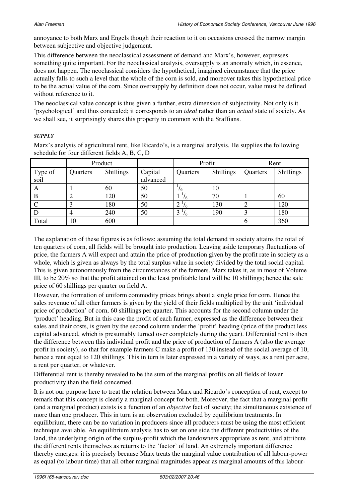annoyance to both Marx and Engels though their reaction to it on occasions crossed the narrow margin between subjective and objective judgement.

This difference between the neoclassical assessment of demand and Marx's, however, expresses something quite important. For the neoclassical analysis, oversupply is an anomaly which, in essence, does not happen. The neoclassical considers the hypothetical, imagined circumstance that the price actually falls to such a level that the whole of the corn is sold, and moreover takes this hypothetical price to be the actual value of the corn. Since oversupply by definition does not occur, value must be defined without reference to it.

The neoclassical value concept is thus given a further, extra dimension of subjectivity. Not only is it 'psychological' and thus concealed; it corresponds to an *ideal* rather than an *actual* state of society. As we shall see, it surprisingly shares this property in common with the Sraffians.

## *SUPPLY*

Marx's analysis of agricultural rent, like Ricardo's, is a marginal analysis. He supplies the following schedule for four different fields A, B, C, D

|                 | Product  |                  |                     | Profit         |           | Rent     |           |
|-----------------|----------|------------------|---------------------|----------------|-----------|----------|-----------|
| Type of<br>soil | Quarters | <b>Shillings</b> | Capital<br>advanced | Quarters       | Shillings | Quarters | Shillings |
| A               |          | 60               | 50                  | 16             | 10        |          |           |
| B               |          | 120              | 50                  | 16             | 70        |          | 60        |
|                 | 2        | 180              | 50                  | 16<br>$\angle$ | 130       |          | 120       |
| D               | 4        | 240              | 50                  | 3<br>16        | 190       | 3        | 180       |
| Total           | 10       | 600              |                     |                |           | $\sigma$ | 360       |

The explanation of these figures is as follows: assuming the total demand in society attains the total of ten quarters of corn, all fields will be brought into production. Leaving aside temporary fluctuations of price, the farmers A will expect and attain the price of production given by the profit rate in society as a whole, which is given as always by the total surplus value in society divided by the total social capital. This is given autonomously from the circumstances of the farmers. Marx takes it, as in most of Volume III, to be 20% so that the profit attained on the least profitable land will be 10 shillings; hence the sale price of 60 shillings per quarter on field A.

However, the formation of uniform commodity prices brings about a single price for corn. Hence the sales revenue of all other farmers is given by the yield of their fields multiplied by the unit 'individual price of production' of corn, 60 shillings per quarter. This accounts for the second column under the 'product' heading. But in this case the profit of each farmer, expressed as the difference between their sales and their costs, is given by the second column under the 'profit' heading (price of the product less capital advanced, which is presumably turned over completely during the year). Differential rent is then the difference between this individual profit and the price of production of farmers A (also the average profit in society), so that for example farmers C make a profit of 130 instead of the social average of 10, hence a rent equal to 120 shillings. This in turn is later expressed in a variety of ways, as a rent per acre, a rent per quarter, or whatever.

Differential rent is thereby revealed to be the sum of the marginal profits on all fields of lower productivity than the field concerned.

It is not our purpose here to treat the relation between Marx and Ricardo's conception of rent, except to remark that this concept is clearly a marginal concept for both. Moreover, the fact that a marginal profit (and a marginal product) exists is a function of an *objective* fact of society; the simultaneous existence of more than one producer. This in turn is an observation excluded by equilibrium treatments. In equilibrium, there can be no variation in producers since all producers must be using the most efficient technique available. An equilibrium analysis has to set on one side the different productivities of the land, the underlying origin of the surplus-profit which the landowners appropriate as rent, and attribute the different rents themselves as returns to the 'factor' of land. An extremely important difference thereby emerges: it is precisely because Marx treats the marginal value contribution of all labour-power as equal (to labour-time) that all other marginal magnitudes appear as marginal amounts of this labour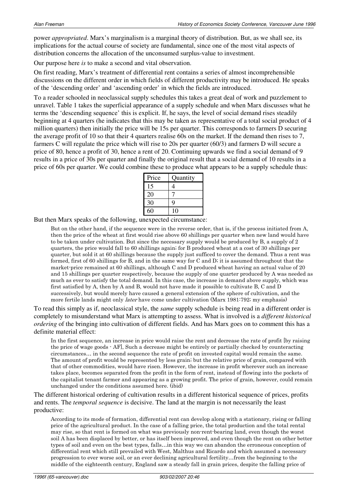power *appropriated*. Marx's marginalism is a marginal theory of distribution. But, as we shall see, its implications for the actual course of society are fundamental, since one of the most vital aspects of distribution concerns the allocation of the unconsumed surplus-value to investment.

Our purpose here *is* to make a second and vital observation.

On first reading, Marx's treatment of differential rent contains a series of almost incomprehensible discussions on the different order in which fields of different productivity may be introduced. He speaks of the 'descending order' and 'ascending order' in which the fields are introduced.

To a reader schooled in neoclassical supply schedules this takes a great deal of work and puzzlement to unravel. Table 1 takes the superficial appearance of a supply schedule and when Marx discusses what he terms the 'descending sequence' this is explicit. If, he says, the level of social demand rises steadily beginning at 4 quarters (he indicates that this may be taken as representative of a total social product of 4 million quarters) then initially the price will be 15s per quarter. This corresponds to farmers D securing the average profit of 10 so that their 4 quarters realise 60s on the market. If the demand then rises to 7, farmers C will regulate the price which will rise to 20s per quarter (60/3) and farmers D will secure a price of 80, hence a profit of 30, hence a rent of 20. Continuing upwards we find a social demand of 9 results in a price of 30s per quarter and finally the original result that a social demand of 10 results in a price of 60s per quarter. We could combine these to produce what appears to be a supply schedule thus:

| Price | Quantity    |
|-------|-------------|
| 15    |             |
| 20    |             |
| 30    | $\mathbf Q$ |
| 60    | 10          |

But then Marx speaks of the following, unexpected circumstance:

But on the other hand, if the sequence were in the reverse order, that is, if the process initiated from A, then the price of the wheat at first would rise above 60 shillings per quarter when new land would have to be taken under cultivation. But since the necessary supply would be produced by B, a supply of  $2$ quarters, the price would fall to 60 shillings again; for B produced wheat at a cost of 30 shillings per quarter, but sold it at 60 shillings because the supply just sufficed to cover the demand. Thus a rent was formed, first of 60 shillings for B, and in the same way for C and D; it is assumed throughout that the market-price remained at 60 shillings, although C and D produced wheat having an actual value of 20 and 15 shillings per quarter respectively, because the supply of one quarter produced by A was needed as much as ever to satisfy the total demand. In this case, the increase in demand above supply, which was first satisfied by A, then by A and B, would not have made it possible to cultivate B, C and D successively, but would merely have caused a general extension of the sphere of cultivation, and the more fertile lands might only *later* have come under cultivation (Marx 1981:792; my emphasis)

To read this simply as if, neoclassical style, the *same* supply schedule is being read in a different order is completely to misunderstand what Marx is attempting to assess. What is involved is a *different historical ordering* of the bringing into cultivation of different fields. And has Marx goes on to comment this has a definite material effect:

In the first sequence, an increase in price would raise the rent and decrease the rate of profit [by raising] the price of wage goods  $\cdot$  AF, Such a decrease might be entirely or partially checked by counteracting circumstances... in the second sequence the rate of profit on invested capital would remain the same. The amount of profit would be represented by less grain; but the relative price of grain, compared with that of other commodities, would have risen. However, the increase in profit wherever such an increase takes place, becomes separated from the profit in the form of rent, instead of flowing into the pockets of the capitalist tenant farmer and appearing as a growing profit. The price of grain, however, could remain unchanged under the conditions assumed here. (ibid)

The different historical ordering of cultivation results in a different historical sequence of prices, profits and rents. The *temporal sequence* is decisive. The land at the margin is not necessarily the least productive:

According to its mode of formation, differential rent can develop along with a stationary, rising or falling price of the agricultural product. In the case of a falling price, the total production and the total rental may rise, so that rent is formed on what was previously non-rent-bearing land, even though the worst soil A has been displaced by better, or has itself been improved, and even though the rent on other better types of soil and even on the best types, falls...in this way we can abandon the erroneous conception of differential rent which still prevailed with West, Malthus and Ricardo and which assumed a necessary progression to ever worse soil, or an ever declining agricultural fertility...from the beginning to the middle of the eighteenth century, England saw a steady fall in grain prices, despite the falling price of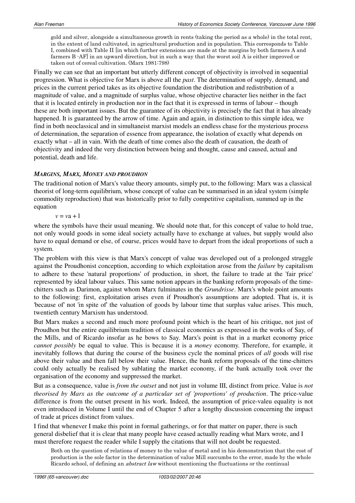gold and silver, alongside a simultaneous growth in rents (taking the period as a whole) in the total rent, in the extent of land cultivated, in agricultural production and in population. This corresponds to Table I, combined with Table II [in which further extensions are made at the margins by both farmers A and farmers B  $-AF$  in an upward direction, but in such a way that the worst soil A is either improved or taken out of cereal cultivation. (Marx 1981:798)

Finally we can see that an important but utterly different concept of objectivity is involved in sequential progression. What is objective for Marx is above all the *past*. The determination of supply, demand, and prices in the current period takes as its objective foundation the distribution and redistribution of a magnitude of value, and a magnitude of surplus value, whose objective character lies neither in the fact that it is located entirely in production nor in the fact that it is expressed in terms of labour – though these are both important issues. But the guarantee of its objectivity is precisely the fact that it has already happened. It is guaranteed by the arrow of time. Again and again, in distinction to this simple idea, we find in both neoclassical and in simultaneist marxist models an endless chase for the mysterious process of determination, the separation of essence from appearance, the isolation of exactly what depends on exactly what – all in vain. With the death of time comes also the death of causation, the death of objectivity and indeed the very distinction between being and thought, cause and caused, actual and potential, death and life.

## *MARGINS, MARX, MONEY AND PROUDHON*

The traditional notion of Marx's value theory amounts, simply put, to the following: Marx was a classical theorist of long-term equilibrium, whose concept of value can be summarised in an ideal system (simple commodity reproduction) that was historically prior to fully competitive capitalism, summed up in the equation

## $v = va + 1$

where the symbols have their usual meaning. We should note that, for this concept of value to hold true, not only would goods in some ideal society actually have to exchange at values, but supply would also have to equal demand or else, of course, prices would have to depart from the ideal proportions of such a system.

The problem with this view is that Marx's concept of value was developed out of a prolonged struggle against the Proudhonist conception, according to which exploitation arose from the *failure* by capitalism to adhere to these 'natural proportions' of production, in short, the failure to trade at the 'fair price' represented by ideal labour values. This same notion appears in the banking reform proposals of the timechitters such as Darimon, against whom Marx fulminates in the *Grundrisse*. Marx's whole point amounts to the following: first, exploitation arises even if Proudhon's assumptions are adopted. That is, it is 'because of' not 'in spite of' the valuation of goods by labour time that surplus value arises. This much, twentieth century Marxism has understood.

But Marx makes a second and much more profound point which is the heart of his critique, not just of Proudhon but the entire equilibrium tradition of classical economics as expressed in the works of Say, of the Mills, and of Ricardo insofar as he bows to Say. Marx's point is that in a market economy price *cannot possibly* be equal to value. This is because it is a *money* economy. Therefore, for example, it inevitably follows that during the course of the business cycle the nominal prices of *all* goods will rise above their value and then fall below their value. Hence, the bank reform proposals of the time-chitters could only actually be realised by sublating the market economy, if the bank actually took over the organisation of the economy and suppressed the market.

But as a consequence, value is *from the outset* and not just in volume III, distinct from price. Value is *not theorised by Marx as the outcome of a particular set of 'proportions' of production*. The price-value difference is from the outset present in his work. Indeed, the assumption of price-valeu equality is not even introduced in Volume I until the end of Chapter 5 after a lengthy discussion concerning the impact of trade at prices distinct from values.

I find that whenever I make this point in formal gatherings, or for that matter on paper, there is such general disbelief that it is clear that many people have ceased actually reading what Marx wrote, and I must therefore request the reader while I supply the citations that will not doubt be requested.

Both on the question of relations of money to the value of metal and in his demonstration that the cost of production is the sole factor in the determination of value Mill succumbs to the error, made by the whole Ricardo school, of defining an *abstract law* without mentioning the fluctuations or the continual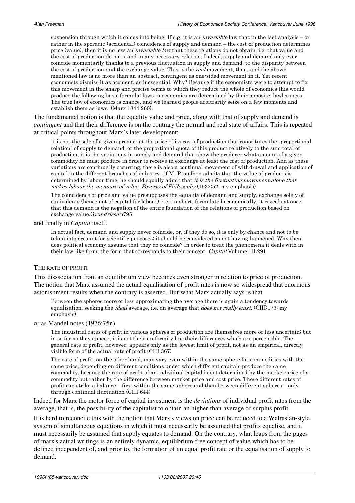suspension through which it comes into being. If e.g. it is an *invariable* law that in the last analysis – or rather in the sporadic (accidental) coincidence of supply and demand – the cost of production determines price (value), then it is no less an *invariable law* that these relations do not obtain, i.e. that value and the cost of production do not stand in any necessary relation. Indeed, supply and demand only ever coincide momentarily thanks to a previous fluctuation in supply and demand, to the disparity between the cost of production and the exchange value. This is the *real* movement, then, and the abovementioned law is no more than an abstract, contingent as one-sided movement in it. Yet recent economists dismiss it as accident, as inessential. Why? Because if the economists were to attempt to fix this movement in the sharp and precise terms to which they reduce the whole of economics this would produce the following basic formula: laws in economics are determined by their opposite, lawlessness. The true law of economics is chance, and we learned people arbitrarily seize on a few moments and establish them as laws (Marx  $1844:260$ ).

The fundamental notion is that the equality value and price, along with that of supply and demand is *contingent* and that their difference is on the contrary the normal and real state of affairs. This is repeated at critical points throughout Marx's later development:

It is not the sale of a given product at the price of its cost of production that constitutes the "proportional" relation" of supply to demand, or the proportional quota of this product relatively to the sum total of production, it is the variations in supply and demand that show the producer what amount of a given commodity he must produce in order to receive in exchange at least the cost of production. And as these variations are continually occurring, there is also a continual movement of withdrawal and application of capital in the different branches of industry...if M. Proudhon admits that the value of products is determined by labour time, he should equally admit that it is the fluctuating movement alone that makes labour the measure of value. Poverty of Philosophy (1932:52: my emphasis)

The coincidence of price and value presupposes the equality of demand and supply, exchange solely of equivalents (hence not of capital for labour) etc.; in short, formulated economically, it reveals at once that this demand is the negation of the entire foundation of the relations of production based on exchange value. Grundrisse p795

#### and finally in *Capital* itself.

In actual fact, demand and supply never coincide, or, if they do so, it is only by chance and not to be taken into account for scientific purposes; it should be considered as not having happened. Why then does political economy assume that they do coincide? In order to treat the phenomena it deals with in their law-like form, the form that corresponds to their concept. Capital Volume III:291

#### THE RATE OF PROFIT

This disssociation from an equilibrium view becomes even stronger in relation to price of production. The notion that Marx assumed the actual equalisation of profit rates is now so widespread that enormous astonishment results when the contrary is asserted. But what Marx actually says is that

Between the spheres more or less approximating the average there is again a tendency towards equalisation, seeking the *ideal* average, i.e. an average that *does not really exist*. (CIII:173: my emphasis)

#### or as Mandel notes (1976:75n)

The industrial rates of profit in various spheres of production are themselves more or less uncertain; but in so far as they appear, it is not their uniformity but their differences which are perceptible. The general rate of profit, however, appears only as the lowest limit of profit, not as an empirical, directly visible form of the actual rate of profit (CIII:367)

The rate of profit, on the other hand, may vary even within the same sphere for commodities with the same price, depending on different conditions under which different capitals produce the same commodity, because the rate of profit of an individual capital is not determined by the market-price of a commodity but rather by the difference between market-price and cost-price. These different rates of profit can strike a balance – first within the same sphere and then between different spheres – only through continual fluctuation (CIII:644)

Indeed for Marx the motor force of capital investment is the *deviations* of individual profit rates from the average, that is, the possibility of the capitalist to obtain an higher-than-average or surplus profit.

It is hard to reconcile this with the notion that Marx's views on price can be reduced to a Walrasian-style system of simultaneous equations in which it must necessarily be assumed that profits equalise, and it must necessarily be assumed that supply equates to demand. On the contrary, what leaps from the pages of marx's actual writings is an entirely dynamic, equilibrium-free concept of value which has to be defined independent of, and prior to, the formation of an equal profit rate or the equalisation of supply to demand.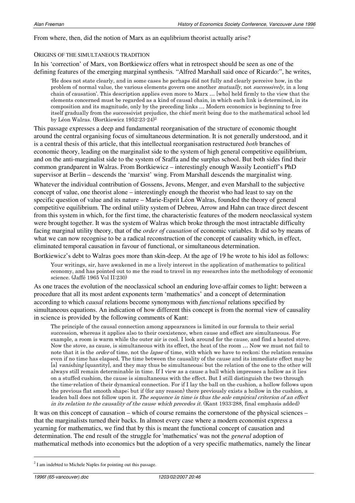#### From where, then, did the notion of Marx as an equilibrium theorist actually arise?

#### ORIGINS OF THE SIMULTANEOUS TRADITION

In his 'correction' of Marx, von Bortkiewicz offers what in retrospect should be seen as one of the defining features of the emerging marginal synthesis. "Alfred Marshall said once of Ricardo:", he writes,

He does not state clearly, and in some cases he perhaps did not fully and clearly perceive how, in the problem of normal value, the various elements govern one another *mutually*, not *successively*, in a long chain of causation'. This description applies even more to Marx ... [who] held firmly to the view that the elements concerned must be regarded as a kind of causal chain, in which each link is determined, in its composition and its magnitude, only by the preceding links ... Modern economics is beginning to free itself gradually from the successivist prejudice, the chief merit being due to the mathematical school led by Léon Walras. (Bortkiewicz 1952:23-24)<sup>2</sup>

This passage expresses a deep and fundamental reorganisation of the structure of economic thought around the central organising focus of simultaneous determination. It is not generally understood, and it is a central thesis of this article, that this intellectual reorganisation restructured *both* branches of economic theory, leading on the marginalist side to the system of high general competitive equilibrium, and on the anti-marginalist side to the system of Sraffa and the surplus school. But both sides find their common grandparent in Walras. From Bortkiewicz – interestingly enough Wassily Leontieff's PhD supervisor at Berlin – descends the 'marxist' wing. From Marshall descends the marginalist wing.

Whatever the individual contribution of Gossens, Jevons, Menger, and even Marshall to the subjective concept of value, one theorist alone – interestingly enough the theorist who had least to say on the specific question of value and its nature – Marie-Esprit Léon Walras, founded the theory of general competitive equilibrium. The ordinal utility system of Debreu, Arrow and Hahn can trace direct descent from this system in which, for the first time, the characteristic features of the modern neoclassical system were brought together. It was the system of Walras which broke through the most intractable difficulty facing marginal utility theory, that of the *order of causation* of economic variables. It did so by means of what we can now recognise to be a radical reconstruction of the concept of causality which, in effect, eliminated temporal causation in favour of functional, or simultaneous determination.

Bortkiewicz's debt to Walras goes more than skin-deep. At the age of 19 he wrote to his idol as follows:

Your writings, sir, have awakened in me a lively interest in the application of mathematics to political economy, and has pointed out to me the road to travel in my researches into the methodology of economic science. (Jaffé 1965 Vol II:230)

As one traces the evolution of the neoclassical school an enduring love-affair comes to light: between a procedure that all its most ardent exponents term 'mathematics' and a concept of determination according to which *causal* relations become synonymous with *functional* relations specified by simultaneous equations. An indication of how different this concept is from the normal view of causality in science is provided by the following comments of Kant:

The principle of the causal connection among appearances is limited in our formula to their serial succession, whereas it applies also to their coexistence, when cause and effect are simultaneous. For example, a room is warm while the outer air is cool. I look around for the cause, and find a heated stove. Now the stove, as cause, is simultaneous with its effect, the heat of the room ... Now we must not fail to note that it is the *order* of time, not the *lapse* of time, with which we have to reckon; the relation remains even if no time has elapsed. The time between the causality of the cause and its immediate effect may be [a] vanishing [quantity], and they may thus be simultaneous; but the relation of the one to the other will always still remain determinable in time. If I view as a cause a ball which impresses a hollow as it lies on a stuffed cushion, the cause is simultaneous with the effect. But I still distinguish the two through the time-relation of their dynamical connection. For if I lay the ball on the cushion, a hollow follows upon the previous flat smooth shape; but if (for any reason) there previously exists a hollow in the cushion, a leaden ball does not follow upon it. The sequence in time is thus the sole empirical criterion of an effect in its relation to the causality of the cause which precedes it. (Kant 1933:288, final emphasis added)

It was on this concept of causation – which of course remains the cornerstone of the physical sciences – that the marginalists turned their backs. In almost every case where a modern economist express a yearning for mathematics, we find that by this is meant the functional concept of causation and determination. The end result of the struggle for 'mathematics' was not the *general* adoption of mathematical methods into economics but the adoption of a very specific mathematics, namely the linear

1

 $2<sup>2</sup>$  I am indebted to Michele Naples for pointing out this passage.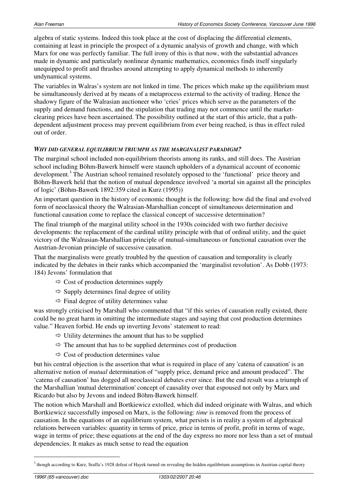algebra of static systems. Indeed this took place at the cost of displacing the differential elements, containing at least in principle the prospect of a dynamic analysis of growth and change, with which Marx for one was perfectly familiar. The full irony of this is that now, with the substantial advances made in dynamic and particularly nonlinear dynamic mathematics, economics finds itself singularly unequipped to profit and thrashes around attempting to apply dynamical methods to inherently undynamical systems.

The variables in Walras's system are not linked in time. The prices which make up the equilibrium must be simultaneously derived at by means of a metaprocess external to the activity of trading. Hence the shadowy figure of the Walrasian auctioneer who 'cries' prices which serve as the parameters of the supply and demand functions, and the stipulation that trading may not commence until the marketclearing prices have been ascertained. The possibility outlined at the start of this article, that a pathdependent adjustment process may prevent equilibrium from ever being reached, is thus in effect ruled out of order.

## *WHY DID GENERAL EQUILIBRIUM TRIUMPH AS THE MARGINALIST PARADIGM?*

The marginal school included non-equilibrium theorists among its ranks, and still does. The Austrian school including Böhm-Bawerk himself were staunch upholders of a dynamical account of economic development.<sup>3</sup> The Austrian school remained resolutely opposed to the 'functional' price theory and Böhm-Bawerk held that the notion of mutual dependence involved 'a mortal sin against all the principles of logic' (Böhm-Bawerk 1892:359 cited in Kurz (1995))

An important question in the history of economic thought is the following: how did the final and evolved form of neoclassical theory the Walrasian-Marshallian concept of simultaneous determination and functional causation come to replace the classical concept of successive determination?

The final triumph of the marginal utility school in the 1930s coincided with two further decisive developments: the replacement of the cardinal utility principle with that of ordinal utility, and the quiet victory of the Walrasian-Marshallian principle of mutual-simultaneous or functional causation over the Austrian-Jevonian principle of successive causation.

That the marginalists were greatly troubled by the question of causation and temporality is clearly indicated by the debates in their ranks which accompanied the 'marginalist revolution'. As Dobb (1973: 184) Jevons' formulation that

- $\Rightarrow$  Cost of production determines supply
- $\Rightarrow$  Supply determines final degree of utility
- $\Rightarrow$  Final degree of utility determines value

was strongly criticised by Marshall who commented that "if this series of causation really existed, there could be no great harm in omitting the intermediate stages and saying that cost production determines value." Heaven forbid. He ends up inverting Jevons' statement to read:

- $\Rightarrow$  Utility determines the amount that has to be supplied
- $\Rightarrow$  The amount that has to be supplied determines cost of production
- $\Rightarrow$  Cost of production determines value

but his central objection is the assertion that what is required in place of any 'catena of causation' is an alternative notion of *mutual* determination of "supply price, demand price and amount produced". The 'catena of causation' has dogged all neoclassical debates ever since. But the end result was a triumph of the Marshallian 'mutual determination' concept of causality over that espoused not only by Marx and Ricardo but also by Jevons and indeed Böhm-Bawerk himself.

The notion which Marshall and Bortkiewicz extolled, which did indeed originate with Walras, and which Bortkiewicz successfully imposed on Marx, is the following: *time* is removed from the process of causation. In the equations of an equilibrium system, what persists is in reality a system of algebraical relations between variables: quantity in terms of price, price in terms of profit, profit in terms of wage, wage in terms of price; these equations at the end of the day express no more nor less than a set of mutual dependencies. It makes as much sense to read the equation

1

 $3$  though according to Kurz, Sraffa's 1928 defeat of Hayek turned on revealing the hidden equilibrium assumptions in Austrian capital theory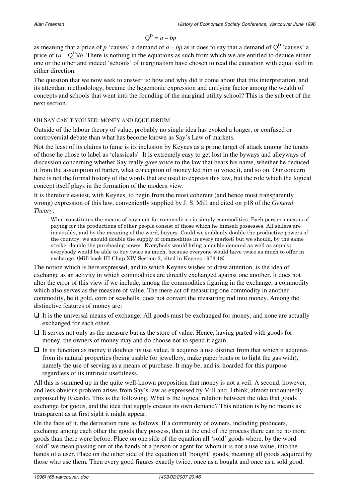$\text{Q}^\text{D}$  $Q^D = a - bn$ 

as meaning that a price of  $p$  'causes' a demand of  $a - bp$  as it does to say that a demand of  $Q^D$  'causes' a price of  $(a - Q^D)/b$ . There is nothing in the equations as such from which we are entitled to deduce either one or the other and indeed 'schools' of marginalism have chosen to read the causation with equal skill in either direction.

The question that we now seek to answer is: how and why did it come about that this interpretation, and its attendant methodology, became the hegemonic expression and unifying factor among the wealth of concepts and schools that went into the founding of the marginal utility school? This is the subject of the next section.

## OH SAY CAN'T YOU SEE: MONEY AND EQUILIBRIUM

Outside of the labour theory of value, probably no single idea has evoked a longer, or confused or controversial debate than what has become known as Say's Law of markets.

Not the least of its claims to fame is its inclusion by Keynes as a prime target of attack among the tenets of those he chose to label as 'classicals'. It is extremely easy to get lost in the byways and alleyways of discussion concerning whether Say really gave voice to the law that bears his name, whether he deduced it from the assumption of barter, what conception of money led him to voice it, and so on. Our concern here is not the formal history of the words that are used to express this law, but the role which the logical concept itself plays in the formation of the modern view.

It is therefore easiest, with Keynes, to begin from the most coherent (and hence most transparently wrong) expression of this law, conveniently supplied by J. S. Mill and cited on p18 of the *General Theory*:

What constitutes the means of payment for commodities is simply commodities. Each person's means of paying for the productions of other people consist of those which he himself possesses. All sellers are inevitably, and by the meaning of the word, buyers. Could we suddenly double the productive powers of the country, we should double the supply of commodities in every market; but we should, by the same stroke, double the purchasing power. Everybody would bring a double demand as well as supply; everybody would be able to buy twice as much, because everyone would have twice as much to offer in exchange. (Mill book III Chap XIV Section 2, cited in Keynes 1973:18)

The notion which is here expressed, and to which Keynes wishes to draw attention, is the idea of exchange as an activity in which commodities are directly exchanged against one another. It does not alter the error of this view if we include, among the commodities figuring in the exchange, a commodity which also serves as the measure of value. The mere act of measuring one commodity in another commodity, be it gold, corn or seashells, does not convert the measuring rod into money. Among the distinctive features of money are:

- □ It is the universal means of exchange. All goods must be exchanged for money, and none are actually exchanged for each other.
- □ It serves not only as the measure but as the store of value. Hence, having parted with goods for money, the owners of money may and do choose not to spend it again.
- -In its function as money it doubles its use value. It acquires a use distinct from that which it acquires from its natural properties (being usable for jewellery, make paper boats or to light the gas with), namely the use of serving as a means of purchase. It may be, and is, hoarded for this purpose regardless of its intrinsic usefulness.

All this is summed up in the quite well-known proposition that money is not a veil. A second, however, and less obvious problem arises from Say's law as expressed by Mill and, I think, almost undoubtedly espoused by Ricardo. This is the following. What is the logical relation between the idea that goods exchange for goods, and the idea that supply creates its own demand? This relation is by no means as transparent as at first sight it might appear.

On the face of it, the derivation runs as follows. If a community of owners, including producers, exchange among each other the goods they possess, then at the end of the process there can be no more goods than there were before. Place on one side of the equation all 'sold' goods where, by the word 'sold' we mean passing out of the hands of a person or agent for whom it is not a use-value, into the hands of a user. Place on the other side of the equation all 'bought' goods, meaning all goods acquired by those who use them. Then every good figures exactly twice, once as a bought and once as a sold good,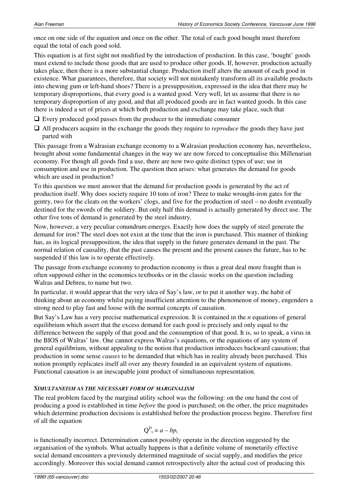once on one side of the equation and once on the other. The total of each good bought must therefore equal the total of each good sold.

This equation is at first sight not modified by the introduction of production. In this case, 'bought' goods must extend to include those goods that are used to produce other goods. If, however, production actually takes place, then there is a more substantial change. Production itself alters the amount of each good in existence. What guarantees, therefore, that society will not mistakenly transform all its available products into chewing gum or left-hand shoes? There is a presupposition, expressed in the idea that there may be temporary disproportions, that every good is a wanted good. Very well, let us assume that there is no temporary disproportion of any good, and that all produced goods are in fact wanted goods. In this case there is indeed a set of prices at which both production and exchange may take place, such that

□ Every produced good passes from the producer to the immediate consumer

□ All producers acquire in the exchange the goods they require to *reproduce* the goods they have just parted with

This passage from a Walrasian exchange economy to a Walrasian production economy has, nevertheless, brought about some fundamental changes in the way we are now forced to conceptualise this Millenarian economy. For though all goods find a use, there are now two quite distinct types of use; use in consumption and use in production. The question then arises: what generates the demand for goods which are used in production?

To this question we must answer that the demand for production goods is generated by the act of production itself. Why does society require 10 tons of iron? Three to make wrought-iron gates for the gentry, two for the cleats on the workers' clogs, and five for the production of steel – no doubt eventually destined for the swords of the soldiery. But only half this demand is actually generated by direct use. The other five tons of demand is generated by the steel industry.

Now, however, a very peculiar conundrum emerges. Exactly how does the supply of steel generate the demand for iron? The steel does not exist at the time that the iron is purchased. This manner of thinking has, as its logical presupposition, the idea that supply in the future generates demand in the past. The normal relation of causality, that the past causes the present and the present causes the future, has to be suspended if this law is to operate effectively.

The passage from exchange economy to production economy is thus a great deal more fraught than is often supposed either in the economics textbooks or in the classic works on the question including Walras and Debreu, to name but two.

In particular, it would appear that the very idea of Say's law, or to put it another way, the habit of thinking about an economy whilst paying insufficient attention to the phenomenon of money, engenders a strong need to play fast and loose with the normal concepts of causation.

But Say's Law has a very precise mathematical expression. It is contained in the *n* equations of general equilibrium which assert that the excess demand for each good is precisely and only equal to the difference between the supply of that good and the consumption of that good. It is, so to speak, a virus in the BIOS of Walras' law. One cannot express Walras's equations, or the equations of any system of general equilibrium, without appealing to the notion that production introduces backward causation; that production in some sense *causes* to be demanded that which has in reality already been purchased. This notion promptly replicates itself all over any theory founded in an equivalent system of equations. Functional causation is an inescapable joint product of simultaneous representation.

## *SIMULTANEISM AS THE NECESSARY FORM OF MARGINALISM*

The real problem faced by the marginal utility school was the following: on the one hand the cost of producing a good is established in time *before* the good is purchased; on the other, the price magnitudes which determine production decisions is established before the production process begins. Therefore first of all the equation

$$
Q_{t}^{D} = a - bp_{t}
$$

is functionally incorrect. Determination cannot possibly operate in the direction suggested by the organisation of the symbols. What actually happens is that a definite volume of monetarily effective social demand encounters a previously determined magnitude of social supply, and modifies the price accordingly. Moreover this social demand cannot retrospectively alter the actual cost of producing this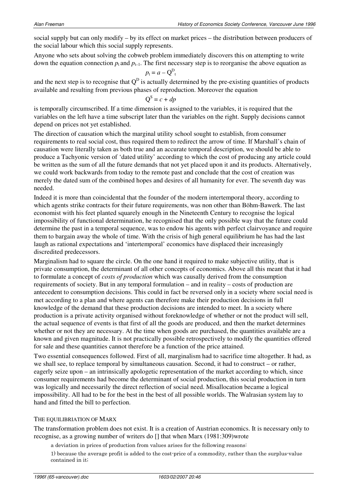social supply but can only modify – by its effect on market prices – the distribution between producers of the social labour which this social supply represents.

Anyone who sets about solving the cobweb problem immediately discovers this on attempting to write down the equation connection  $p_t$  and  $p_{t-1}$ . The first necessary step is to reorganise the above equation as

$$
p_{\rm t} = a - Q_{\rm t}^{\rm D}
$$

and the next step is to recognise that  $Q^D$  is actually determined by the pre-existing quantities of products available and resulting from previous phases of reproduction. Moreover the equation

$$
Q^S = c + dp
$$

is temporally circumscribed. If a time dimension is assigned to the variables, it is required that the variables on the left have a time subscript later than the variables on the right. Supply decisions cannot depend on prices not yet established.

The direction of causation which the marginal utility school sought to establish, from consumer requirements to real social cost, thus required them to redirect the arrow of time. If Marshall's chain of causation were literally taken as both true and an accurate temporal description, we should be able to produce a Tachyonic version of 'dated utility' according to which the cost of producing any article could be written as the sum of all the future demands that not yet placed upon it and its products. Alternatively, we could work backwards from today to the remote past and conclude that the cost of creation was merely the dated sum of the combined hopes and desires of all humanity for ever. The seventh day was needed.

Indeed it is more than coincidental that the founder of the modern intertemporal theory, according to which agents strike contracts for their future requirements, was non other than Böhm-Bawerk. The last economist with his feet planted squarely enough in the Nineteenth Century to recognise the logical impossibility of functional determination, he recognised that the only possible way that the future could determine the past in a temporal sequence, was to endow his agents with perfect clairvoyance and require them to bargain away the whole of time. With the crisis of high general equilibrium he has had the last laugh as rational expectations and 'intertemporal' economics have displaced their increasingly discredited predecessors.

Marginalism had to square the circle. On the one hand it required to make subjective utility, that is private consumption, the determinant of all other concepts of economics. Above all this meant that it had to formulate a concept of *costs of production* which was causally derived from the consumption requirements of society. But in any temporal formulation – and in reality – costs of production are antecedent to consumption decisions. This could in fact be reversed only in a society where social need is met according to a plan and where agents can therefore make their production decisions in full knowledge of the demand that these production decisions are intended to meet. In a society where production is a private activity organised without foreknowledge of whether or not the product will sell, the actual sequence of events is that first of all the goods are produced, and then the market determines whether or not they are necessary. At the time when goods are purchased, the quantities available are a known and given magnitude. It is not practically possible retrospectively to modify the quantities offered for sale and these quantities cannot therefore be a function of the price attained.

Two essential consequences followed. First of all, marginalism had to sacrifice time altogether. It had, as we shall see, to replace temporal by simultaneous causation. Second, it had to construct – or rather, eagerly seize upon – an intrinsically apologetic representation of the market according to which, since consumer requirements had become the determinant of social production, this social production in turn was logically and necessarily the direct reflection of social need. Misallocation became a logical impossibility. All had to be for the best in the best of all possible worlds. The Walrasian system lay to hand and fitted the bill to perfection.

## THE EQUILIBRIATION OF MARX

The transformation problem does not exist. It is a creation of Austrian economics. It is necessary only to recognise, as a growing number of writers do [] that when Marx (1981:309)wrote

a deviation in prices of production from values arises for the following reasons:

1) because the average profit is added to the cost-price of a commodity, rather than the surplus-value contained in it;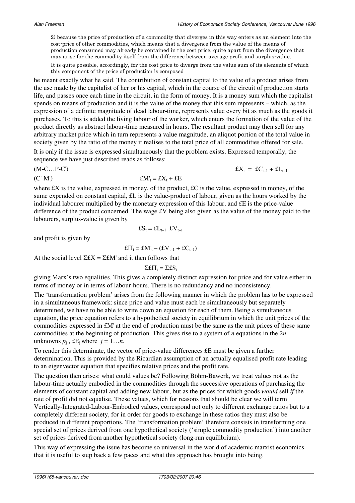2) because the price of production of a commodity that diverges in this way enters as an element into the cost-price of other commodities, which means that a divergence from the value of the means of production consumed may already be contained in the cost price, quite apart from the divergence that may arise for the commodity itself from the difference between average profit and surplus-value.

It is quite possible, accordingly, for the cost price to diverge from the value sum of its elements of which this component of the price of production is composed

he meant exactly what he said. The contribution of constant capital to the value of a product arises from the use made by the capitalist of her or his capital, which in the course of the circuit of production starts life, and passes once each time in the circuit, in the form of money. It is a money sum which the capitalist spends on means of production and it is the value of the money that this sum represents – which, as the expression of a definite magnitude of dead labour-time, represents value every bit as much as the goods it purchases. To this is added the living labour of the worker, which enters the formation of the value of the product directly as abstract labour-time measured in hours. The resultant product may then sell for any arbitrary market price which in turn represents a value magnitude, an aliquot portion of the total value in society given by the ratio of the money it realises to the total price of all commodities offered for sale.

It is only if the issue is expressed simultaneously that the problem exists. Expressed temporally, the sequence we have just described reads as follows:

(M-C…P-C') £X<sup>t</sup>

 $EX_t =$  £C<sub>t–1</sub> + £L<sub>t–1</sub>

$$
f(X') \qquad \qquad \mathbf{f}(X'_t) = f(X_t) + f(E)
$$

where  $fX$  is the value, expressed in money, of the product,  $fX$  is the value, expressed in money, of the sume expended on constant capital, £L is the value-product of labour, given as the hours worked by the individual labourer multiplied by the monetary expression of this labour, and £E is the price-value difference of the product concerned. The wage £V being also given as the value of the money paid to the labourers, surplus-value is given by

$$
\pounds S_t = \pounds L_{t-1} - \pounds V_{t-1}
$$

and profit is given by

$$
\pounds\Pi_t = \pounds M'_t - (\pounds V_{t-1} + \pounds C_{t-1})
$$

At the social level  $\Sigma$ £ $X = \Sigma$ £ $M'$  and it then follows that

$$
\Sigma \pounds \Pi_t = \Sigma \pounds S_t
$$

giving Marx's two equalities. This gives a completely distinct expression for price and for value either in terms of money or in terms of labour-hours. There is no redundancy and no inconsistency.

The 'transformation problem' arises from the following manner in which the problem has to be expressed in a simultaneous framework: since price and value must each be simultaneously but separately determined, we have to be able to write down an equation for each of them. Being a simultaneous equation, the price equation refers to a hypothetical society in equilibrium in which the unit prices of the commodities expressed in £M' at the end of production must be the same as the unit prices of these same commodities at the beginning of production. This gives rise to a system of *n* equations in the 2*n*  unknowns  $p_j$ ,  $\pounds E_j$  where  $j = 1...n$ .

To render this determinate, the vector of price-value differences £E must be given a further determination. This is provided by the Ricardian assumption of an actually equalised profit rate leading to an eigenvector equation that specifies relative prices and the profit rate.

The question then arises: what could values be? Following Böhm-Bawerk, we treat values not as the labour-time actually embodied in the commodities through the successive operations of purchasing the elements of constant capital and adding new labour, but as the prices for which goods *would* sell *if* the rate of profit did not equalise. These values, which for reasons that should be clear we will term Vertically-Integrated-Labour-Embodied values, correspond not only to different exchange ratios but to a completely different society, for in order for goods to exchange in these ratios they must also be produced in different proportions. The 'transformation problem' therefore consists in transforming one special set of prices derived from one hypothetical society ('simple commodity production') into another set of prices derived from another hypothetical society (long-run equilibrium).

This way of expressing the issue has become so universal in the world of academic marxist economics that it is useful to step back a few paces and what this approach has brought into being.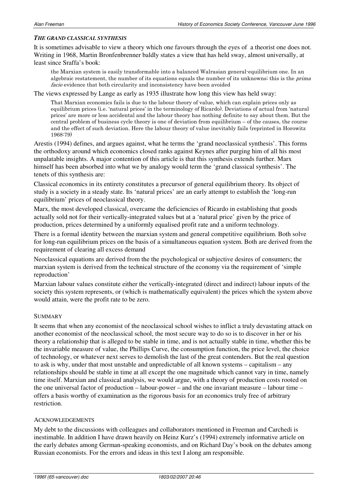## *THE GRAND CLASSICAL SYNTHESIS*

It is sometimes advisable to view a theory which one favours through the eyes of a theorist one does not. Writing in 1968, Martin Bronfenbrenner baldly states a view that has held sway, almost universally, at least since Sraffa's book:

the Marxian system is easily transformable into a balanced Walrasian general-equilibrium one. In an algebraic restatement, the number of its equations equals the number of its unknowns; this is the *prima* facie evidence that both circularity and inconsistency have been avoided

The views expressed by Lange as early as 1935 illustrate how long this view has held sway:

That Marxian economics fails is due to the labour theory of value, which can explain prices only as equilibrium prices (i.e. 'natural prices' in the terminology of Ricardo). Deviations of actual from 'natural prices' are more or less accidental and the labour theory has nothing definite to say about them. But the central problem of business cycle theory is one of deviation from equilibrium  $-$  of the causes, the course and the effect of such deviation. Here the labour theory of value inevitably fails (reprinted in Horowitz 1968:79)

Arestis (1994) defines, and argues against, what he terms the 'grand neoclassical synthesis'. This forms the orthodoxy around which economics closed ranks against Keynes after purging him of all his most unpalatable insights. A major contention of this article is that this synthesis extends further. Marx himself has been absorbed into what we by analogy would term the 'grand classical synthesis'. The tenets of this synthesis are:

Classical economics in its entirety constitutes a precursor of general equilibrium theory. Its object of study is a society in a steady state. Its 'natural prices' are an early attempt to establish the 'long-run equilibrium' prices of neoclassical theory.

Marx, the most developed classical, overcame the deficiencies of Ricardo in establishing that goods actually sold not for their vertically-integrated values but at a 'natural price' given by the price of production, prices determined by a uniformly equalised profit rate and a uniform technology.

There is a formal identity between the marxian system and general competitive equilibrium. Both solve for long-run equilibrium prices on the basis of a simultaneous equation system. Both are derived from the requirement of clearing all excess demand

Neoclassical equations are derived from the the psychological or subjective desires of consumers; the marxian system is derived from the technical structure of the economy via the requirement of 'simple reproduction'

Marxian labour values constitute either the vertically-integrated (direct and indirect) labour inputs of the society this system represents, or (which is mathematically equivalent) the prices which the system above would attain, were the profit rate to be zero.

## SUMMARY

It seems that when any economist of the neoclassical school wishes to inflict a truly devastating attack on another economist of the neoclassical school, the most secure way to do so is to discover in her or his theory a relationship that is alleged to be stable in time, and is not actually stable in time, whether this be the invariable measure of value, the Phillips Curve, the consumption function, the price level, the choice of technology, or whatever next serves to demolish the last of the great contenders. But the real question to ask is why, under that most unstable and unpredictable of all known systems – capitalism – any relationships should be stable in time at all except the one magnitude which cannot vary in time, namely time itself. Marxian and classical analysis, we would argue, with a theory of production costs rooted on the one universal factor of production – labour-power – and the one invariant measure – labour time – offers a basis worthy of examination as the rigorous basis for an economics truly free of arbitrary restriction.

## ACKNOWLEDGEMENTS

My debt to the discussions with colleagues and collaborators mentioned in Freeman and Carchedi is inestimable. In addition I have drawn heavily on Heinz Kurz's (1994) extremely informative article on the early debates among German-speaking economists, and on Richard Day's book on the debates among Russian economists. For the errors and ideas in this text I along am responsible.